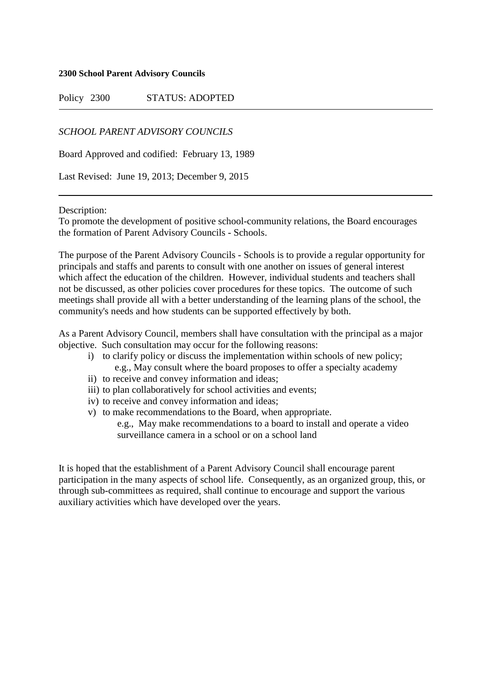#### **2300 School Parent Advisory Councils**

Policy 2300 STATUS: ADOPTED

## *SCHOOL PARENT ADVISORY COUNCILS*

Board Approved and codified: February 13, 1989

Last Revised: June 19, 2013; December 9, 2015

#### Description:

To promote the development of positive school-community relations, the Board encourages the formation of Parent Advisory Councils - Schools.

The purpose of the Parent Advisory Councils - Schools is to provide a regular opportunity for principals and staffs and parents to consult with one another on issues of general interest which affect the education of the children. However, individual students and teachers shall not be discussed, as other policies cover procedures for these topics. The outcome of such meetings shall provide all with a better understanding of the learning plans of the school, the community's needs and how students can be supported effectively by both.

As a Parent Advisory Council, members shall have consultation with the principal as a major objective. Such consultation may occur for the following reasons:

- i) to clarify policy or discuss the implementation within schools of new policy; e.g., May consult where the board proposes to offer a specialty academy
- ii) to receive and convey information and ideas;
- iii) to plan collaboratively for school activities and events;
- iv) to receive and convey information and ideas;
- v) to make recommendations to the Board, when appropriate. e.g., May make recommendations to a board to install and operate a video surveillance camera in a school or on a school land

It is hoped that the establishment of a Parent Advisory Council shall encourage parent participation in the many aspects of school life. Consequently, as an organized group, this, or through sub-committees as required, shall continue to encourage and support the various auxiliary activities which have developed over the years.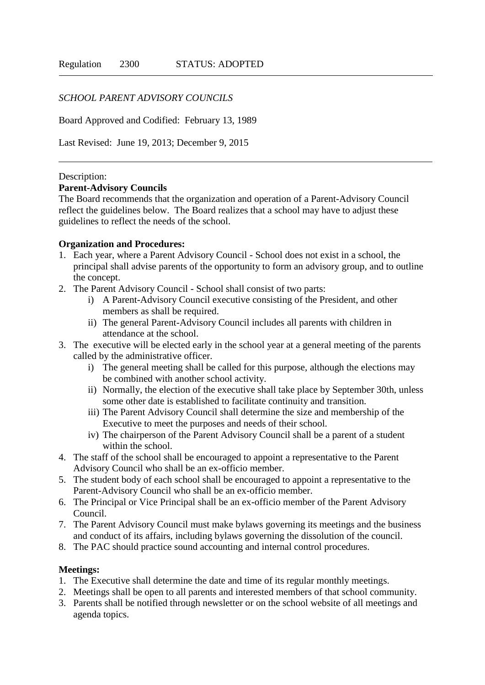## *SCHOOL PARENT ADVISORY COUNCILS*

Board Approved and Codified: February 13, 1989

Last Revised: June 19, 2013; December 9, 2015

#### Description:

### **Parent-Advisory Councils**

The Board recommends that the organization and operation of a Parent-Advisory Council reflect the guidelines below. The Board realizes that a school may have to adjust these guidelines to reflect the needs of the school.

## **Organization and Procedures:**

- 1. Each year, where a Parent Advisory Council School does not exist in a school, the principal shall advise parents of the opportunity to form an advisory group, and to outline the concept.
- 2. The Parent Advisory Council School shall consist of two parts:
	- i) A Parent-Advisory Council executive consisting of the President, and other members as shall be required.
	- ii) The general Parent-Advisory Council includes all parents with children in attendance at the school.
- 3. The executive will be elected early in the school year at a general meeting of the parents called by the administrative officer.
	- i) The general meeting shall be called for this purpose, although the elections may be combined with another school activity.
	- ii) Normally, the election of the executive shall take place by September 30th, unless some other date is established to facilitate continuity and transition.
	- iii) The Parent Advisory Council shall determine the size and membership of the Executive to meet the purposes and needs of their school.
	- iv) The chairperson of the Parent Advisory Council shall be a parent of a student within the school.
- 4. The staff of the school shall be encouraged to appoint a representative to the Parent Advisory Council who shall be an ex-officio member.
- 5. The student body of each school shall be encouraged to appoint a representative to the Parent-Advisory Council who shall be an ex-officio member.
- 6. The Principal or Vice Principal shall be an ex-officio member of the Parent Advisory Council.
- 7. The Parent Advisory Council must make bylaws governing its meetings and the business and conduct of its affairs, including bylaws governing the dissolution of the council.
- 8. The PAC should practice sound accounting and internal control procedures.

## **Meetings:**

- 1. The Executive shall determine the date and time of its regular monthly meetings.
- 2. Meetings shall be open to all parents and interested members of that school community.
- 3. Parents shall be notified through newsletter or on the school website of all meetings and agenda topics.